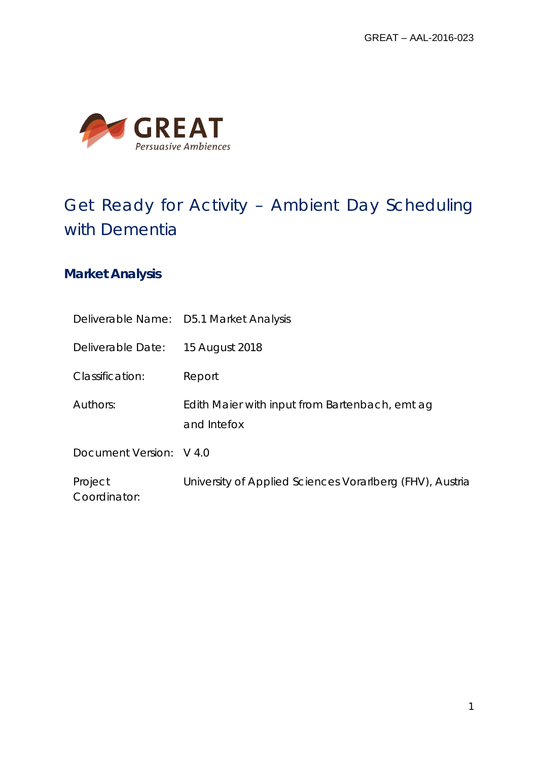

# Get Ready for Activity – Ambient Day Scheduling with Dementia

## **Market Analysis**

|                         | Deliverable Name: D5.1 Market Analysis                        |
|-------------------------|---------------------------------------------------------------|
| Deliverable Date:       | 15 August 2018                                                |
| Classification:         | Report                                                        |
| Authors:                | Edith Maier with input from Bartenbach, emt ag<br>and Intefox |
| Document Version: V 4.0 |                                                               |
| Project<br>Coordinator: | University of Applied Sciences Vorarlberg (FHV), Austria      |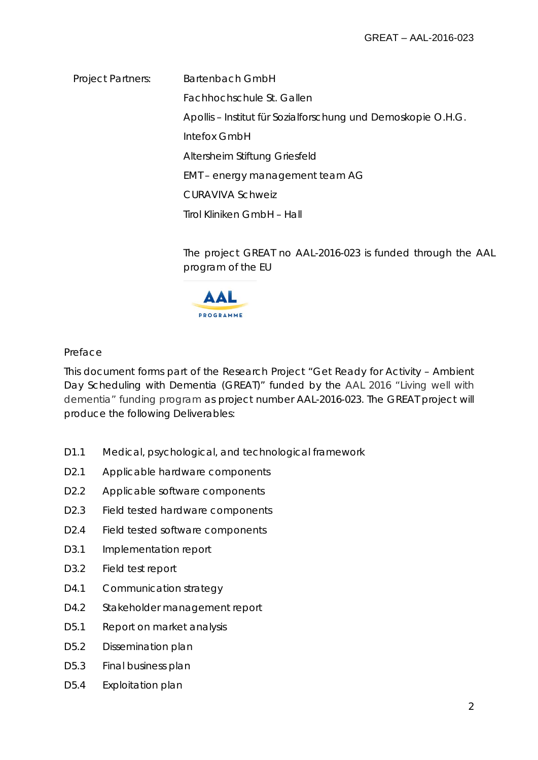Project Partners: Bartenbach GmbH Fachhochschule St. Gallen Apollis – Institut für Sozialforschung und Demoskopie O.H.G. Intefox GmbH Altersheim Stiftung Griesfeld EMT – energy management team AG CURAVIVA Schweiz Tirol Kliniken GmbH – Hall

> The project GREAT no AAL-2016-023 is funded through the AAL program of the EU



### Preface

This document forms part of the Research Project "Get Ready for Activity – Ambient Day Scheduling with Dementia (GREAT)" funded by the AAL 2016 "Living well with dementia" funding program as project number AAL-2016-023. The GREAT project will produce the following Deliverables:

- D1.1 Medical, psychological, and technological framework
- D2.1 Applicable hardware components
- D<sub>2.2</sub> Applicable software components
- D2.3 Field tested hardware components
- D2.4 Field tested software components
- D3.1 Implementation report
- D3.2 Field test report
- D4.1 Communication strategy
- D4.2 Stakeholder management report
- D5.1 Report on market analysis
- D5.2 Dissemination plan
- D5.3 Final business plan
- D5.4 Exploitation plan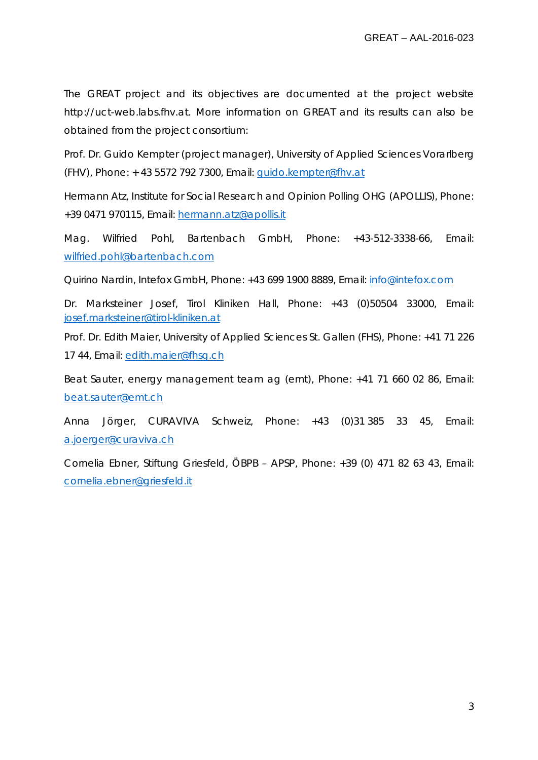The GREAT project and its objectives are documented at the project website http://uct-web.labs.fhv.at. More information on GREAT and its results can also be obtained from the project consortium:

Prof. Dr. Guido Kempter (project manager), University of Applied Sciences Vorarlberg (FHV), Phone: + 43 5572 792 7300, Email: [guido.kempter@fhv.at](mailto:guido.kempter@fhv.at)

Hermann Atz, Institute for Social Research and Opinion Polling OHG (APOLLIS), Phone: +39 0471 970115, Email: [hermann.atz@apollis.it](mailto:hermann.atz@apollis.it)

Mag. Wilfried Pohl, Bartenbach GmbH, Phone: +43-512-3338-66, Email: [wilfried.pohl@bartenbach.com](mailto:wilfried.pohl@bartenbach.com)

Quirino Nardin, Intefox GmbH, Phone: +43 699 1900 8889, Email: [info@intefox.com](mailto:info@intefox.com)

Dr. Marksteiner Josef, Tirol Kliniken Hall, Phone: +43 (0)50504 33000, Email: [josef.marksteiner@tirol-kliniken.at](mailto:josef.marksteiner@tirol-kliniken.at)

Prof. Dr. Edith Maier, University of Applied Sciences St. Gallen (FHS), Phone: +41 71 226 17 44, Email: [edith.maier@fhsg.ch](mailto:edith.maier@fhsg.ch)

Beat Sauter, energy management team ag (emt), Phone: +41 71 660 02 86, Email: [beat.sauter@emt.ch](mailto:beat.sauter@emt.ch)

Anna Jörger, CURAVIVA Schweiz, Phone: +43 (0)31 385 33 45, Email: [a.joerger@curaviva.ch](mailto:a.joerger@curaviva.ch)

Cornelia Ebner, Stiftung Griesfeld, ÖBPB – APSP, Phone: +39 (0) 471 82 63 43, Email: [cornelia.ebner@griesfeld.it](mailto:cornelia.ebner@griesfeld.it)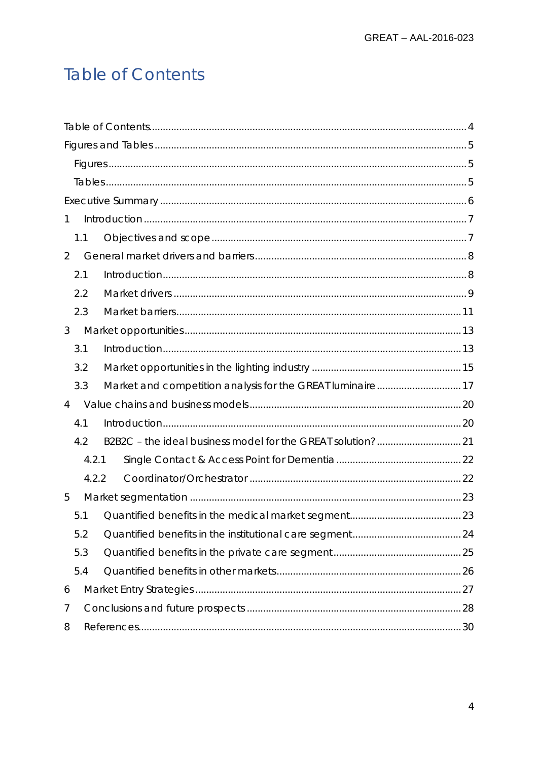# <span id="page-3-0"></span>**Table of Contents**

| 1              |       |  |  |  |  |
|----------------|-------|--|--|--|--|
| 1.1            |       |  |  |  |  |
| $\overline{2}$ |       |  |  |  |  |
| 2.1            |       |  |  |  |  |
| 2.2            |       |  |  |  |  |
| 2.3            |       |  |  |  |  |
| 3              |       |  |  |  |  |
| 3.1            |       |  |  |  |  |
| 3.2            |       |  |  |  |  |
| 3.3            |       |  |  |  |  |
| 4              |       |  |  |  |  |
| 4.1            |       |  |  |  |  |
| 4.2            |       |  |  |  |  |
|                | 4.2.1 |  |  |  |  |
|                | 4.2.2 |  |  |  |  |
| 5              |       |  |  |  |  |
| 5.1            |       |  |  |  |  |
| 5.2            |       |  |  |  |  |
| 5.3            |       |  |  |  |  |
| 5.4            |       |  |  |  |  |
| 6              |       |  |  |  |  |
| 7              |       |  |  |  |  |
| 8              |       |  |  |  |  |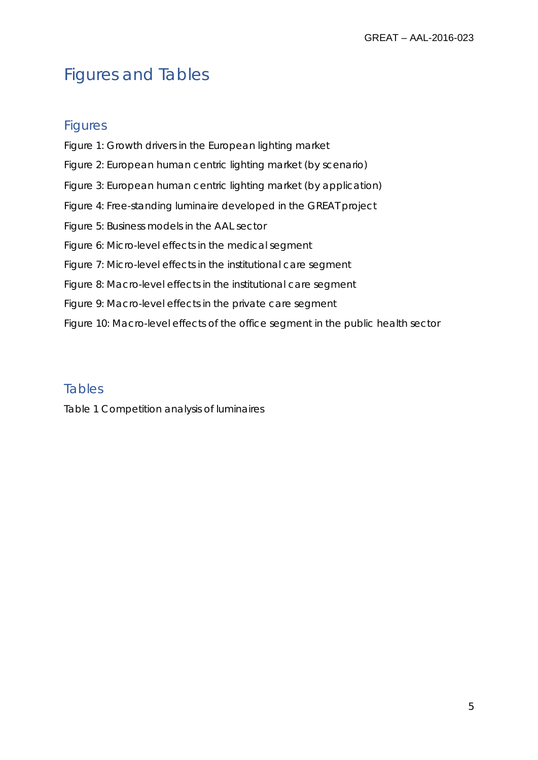# <span id="page-4-0"></span>Figures and Tables

## <span id="page-4-1"></span>**Figures**

Figure 1: Growth drivers in the European lighting market Figure 2: European human centric lighting market (by scenario) Figure 3: European human centric lighting market (by application) Figure 4: Free-standing luminaire developed in the GREAT project Figure 5: Business models in the AAL sector Figure 6: Micro-level effects in the medical segment Figure 7: Micro-level effects in the institutional care segment Figure 8: Macro-level effects in the institutional care segment Figure 9: Macro-level effects in the private care segment Figure 10: Macro-level effects of the office segment in the public health sector

## <span id="page-4-2"></span>Tables

Table 1 Competition analysis of luminaires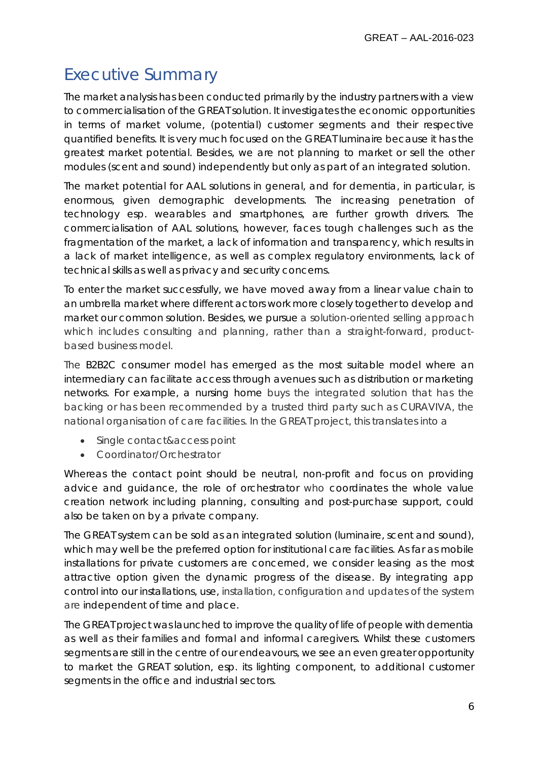## <span id="page-5-0"></span>Executive Summary

The market analysis has been conducted primarily by the industry partners with a view to commercialisation of the GREAT solution. It investigates the economic opportunities in terms of market volume, (potential) customer segments and their respective quantified benefits. It is very much focused on the GREAT luminaire because it has the greatest market potential. Besides, we are not planning to market or sell the other modules (scent and sound) independently but only as part of an integrated solution.

The market potential for AAL solutions in general, and for dementia, in particular, is enormous, given demographic developments. The increasing penetration of technology esp. wearables and smartphones, are further growth drivers. The commercialisation of AAL solutions, however, faces tough challenges such as the fragmentation of the market, a lack of information and transparency, which results in a lack of market intelligence, as well as complex regulatory environments, lack of technical skills as well as privacy and security concerns.

To enter the market successfully, we have moved away from a linear value chain to an umbrella market where different actors work more closely together to develop and market our common solution. Besides, we pursue a solution-oriented selling approach which includes consulting and planning, rather than a straight-forward, productbased business model.

The B2B2C consumer model has emerged as the most suitable model where an intermediary can facilitate access through avenues such as distribution or marketing networks. For example, a nursing home buys the integrated solution that has the backing or has been recommended by a trusted third party such as CURAVIVA, the national organisation of care facilities. In the GREAT project, this translates into a

- Single contact&access point
- Coordinator/Orchestrator

Whereas the contact point should be neutral, non-profit and focus on providing advice and guidance, the role of orchestrator who coordinates the whole value creation network including planning, consulting and post-purchase support, could also be taken on by a private company.

The GREAT system can be sold as an integrated solution (luminaire, scent and sound), which may well be the preferred option for institutional care facilities. As far as mobile installations for private customers are concerned, we consider leasing as the most attractive option given the dynamic progress of the disease. By integrating app control into our installations, use, installation, configuration and updates of the system are independent of time and place.

The GREAT project was launched to improve the quality of life of people with dementia as well as their families and formal and informal caregivers. Whilst these customers segments are still in the centre of our endeavours, we see an even greater opportunity to market the GREAT solution, esp. its lighting component, to additional customer segments in the office and industrial sectors.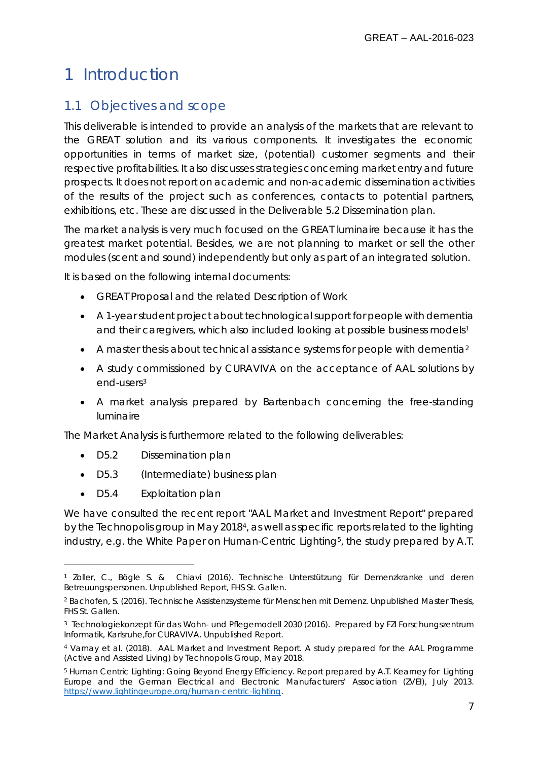## <span id="page-6-0"></span>1 Introduction

## <span id="page-6-1"></span>1.1 Objectives and scope

This deliverable is intended to provide an analysis of the markets that are relevant to the GREAT solution and its various components. It investigates the economic opportunities in terms of market size, (potential) customer segments and their respective profitabilities. It also discusses strategies concerning market entry and future prospects. It does not report on academic and non-academic dissemination activities of the results of the project such as conferences, contacts to potential partners, exhibitions, etc. These are discussed in the Deliverable 5.2 Dissemination plan.

The market analysis is very much focused on the GREAT luminaire because it has the greatest market potential. Besides, we are not planning to market or sell the other modules (scent and sound) independently but only as part of an integrated solution.

It is based on the following internal documents:

- GREAT Proposal and the related Description of Work
- A 1-year student project about technological support for people with dementia and their caregivers, which also included looking at possible business models<sup>[1](#page-6-2)</sup>
- A master thesis about technical assistance systems for people with dementia<sup>[2](#page-6-3)</sup>
- A study commissioned by CURAVIVA on the acceptance of AAL solutions by end-users[3](#page-6-4)
- A market analysis prepared by Bartenbach concerning the free-standing luminaire

The Market Analysis is furthermore related to the following deliverables:

- D5.2 Dissemination plan
- D5.3 (Intermediate) business plan
- D5.4 Exploitation plan

 $\overline{a}$ 

We have consulted the recent report "AAL Market and Investment Report" prepared by the *Technopolis group* in May 2018[4](#page-6-5), as well as specific reports related to the lighting industry, e.g. the White Paper on Human-Centric Lighting<sup>5</sup>, the study prepared by A.T.

<span id="page-6-2"></span><sup>1</sup> Zoller, C., Bögle S. & Chiavi (2016). Technische Unterstützung für Demenzkranke und deren Betreuungspersonen. Unpublished Report, FHS St. Gallen.

<span id="page-6-3"></span><sup>2</sup> Bachofen, S. (2016). Technische Assistenzsysteme für Menschen mit Demenz. Unpublished Master Thesis, FHS St. Gallen.

<span id="page-6-4"></span><sup>3</sup> Technologiekonzept für das Wohn- und Pflegemodell 2030 (2016). Prepared by FZI Forschungszentrum Informatik, Karlsruhe,for CURAVIVA. Unpublished Report.

<span id="page-6-5"></span><sup>4</sup> Varnay et al. (2018). AAL Market and Investment Report. A study prepared for the AAL Programme (Active and Assisted Living) by Technopolis Group, May 2018.

<span id="page-6-6"></span><sup>5</sup> Human Centric Lighting: Going Beyond Energy Efficiency. Report prepared by A.T. Kearney for Lighting Europe and the German Electrical and Electronic Manufacturers' Association (ZVEI), July 2013. [https://www.lightingeurope.org/human-centric-lighting.](https://www.lightingeurope.org/human-centric-lighting)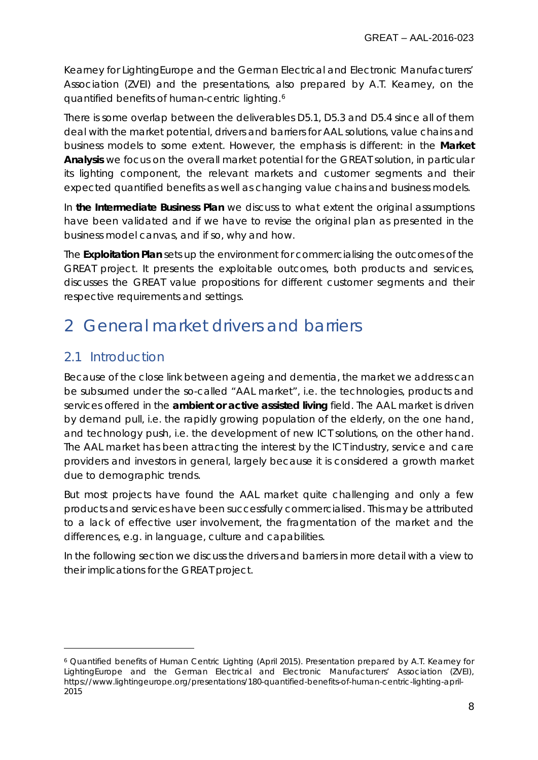Kearney for LightingEurope and the German Electrical and Electronic Manufacturers' Association (ZVEI) and the presentations, also prepared by A.T. Kearney, on the quantified benefits of human-centric lighting.[6](#page-7-2)

There is some overlap between the deliverables D5.1, D5.3 and D5.4 since all of them deal with the market potential, drivers and barriers for AAL solutions, value chains and business models to some extent. However, the emphasis is different: in the **Market Analysis** we focus on the overall market potential for the GREAT solution, in particular its lighting component, the relevant markets and customer segments and their expected quantified benefits as well as changing value chains and business models.

In **the Intermediate Business Plan** we discuss to what extent the original assumptions have been validated and if we have to revise the original plan as presented in the business model canvas, and if so, why and how.

The **Exploitation Plan** sets up the environment for commercialising the outcomes of the GREAT project. It presents the exploitable outcomes, both products and services, discusses the GREAT value propositions for different customer segments and their respective requirements and settings.

## <span id="page-7-0"></span>2 General market drivers and barriers

## <span id="page-7-1"></span>2.1 Introduction

 $\overline{a}$ 

Because of the close link between ageing and dementia, the market we address can be subsumed under the so-called "AAL market", i.e. the technologies, products and services offered in the **ambient or active assisted living** field. The AAL market is driven by demand pull, i.e. the rapidly growing population of the elderly, on the one hand, and technology push, i.e. the development of new ICT solutions, on the other hand. The AAL market has been attracting the interest by the ICT industry, service and care providers and investors in general, largely because it is considered a growth market due to demographic trends.

But most projects have found the AAL market quite challenging and only a few products and services have been successfully commercialised. This may be attributed to a lack of effective user involvement, the fragmentation of the market and the differences, e.g. in language, culture and capabilities.

In the following section we discuss the drivers and barriers in more detail with a view to their implications for the GREAT project.

<span id="page-7-2"></span><sup>6</sup> Quantified benefits of Human Centric Lighting (April 2015). Presentation prepared by A.T. Kearney for LightingEurope and the German Electrical and Electronic Manufacturers' Association (ZVEI), https://www.lightingeurope.org/presentations/180-quantified-benefits-of-human-centric-lighting-april-2015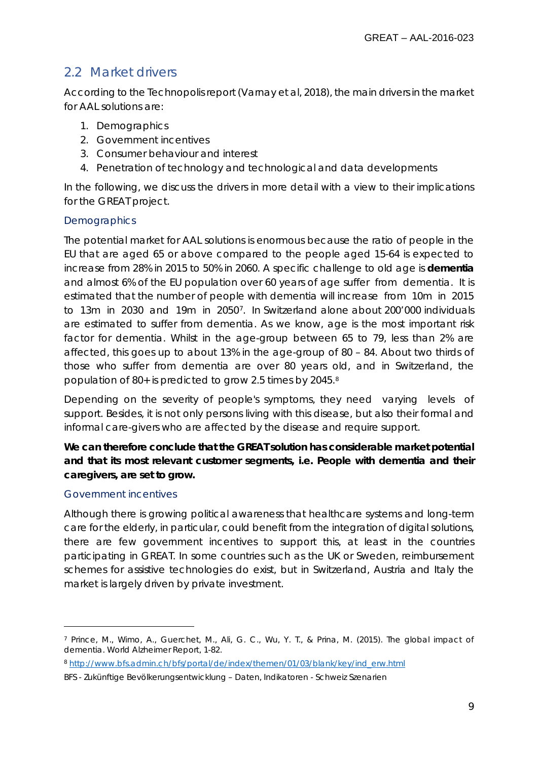## <span id="page-8-0"></span>2.2 Market drivers

According to the Technopolis report (Varnay et al, 2018), the main drivers in the market for AAL solutions are:

- 1. Demographics
- 2. Government incentives
- 3. Consumer behaviour and interest
- 4. Penetration of technology and technological and data developments

In the following, we discuss the drivers in more detail with a view to their implications for the GREAT project.

#### **Demographics**

The potential market for AAL solutions is enormous because the ratio of people in the EU that are aged 65 or above compared to the people aged 15-64 is expected to increase from 28% in 2015 to 50% in 2060. A specific challenge to old age is **dementia** and almost 6% of the EU population over 60 years of age suffer from dementia. It is estimated that the number of people with dementia will increase from 10m in 2015 to 13m in 2030 and 19m in 2050[7.](#page-8-1) In Switzerland alone about 200'000 individuals are estimated to suffer from dementia. As we know, age is the most important risk factor for dementia. Whilst in the age-group between 65 to 79, less than 2% are affected, this goes up to about 13% in the age-group of 80 – 84. About two thirds of those who suffer from dementia are over 80 years old, and in Switzerland, the population of 80+ is predicted to grow 2.5 times by 2045.[8](#page-8-2)

Depending on the severity of people's symptoms, they need varying levels of support. Besides, it is not only persons living with this disease, but also their formal and informal care-givers who are affected by the disease and require support.

**We can therefore conclude that the GREAT solution has considerable market potential and that its most relevant customer segments, i.e. People with dementia and their caregivers, are set to grow.**

#### Government incentives

 $\overline{a}$ 

Although there is growing political awareness that healthcare systems and long-term care for the elderly, in particular, could benefit from the integration of digital solutions, there are few government incentives to support this, at least in the countries participating in GREAT. In some countries such as the UK or Sweden, reimbursement schemes for assistive technologies do exist, but in Switzerland, Austria and Italy the market is largely driven by private investment.

<span id="page-8-1"></span><sup>7</sup> Prince, M., Wimo, A., Guerchet, M., Ali, G. C., Wu, Y. T., & Prina, M. (2015). The global impact of dementia. *World Alzheimer Report*, 1-82.

<span id="page-8-2"></span><sup>8</sup> [http://www.bfs.admin.ch/bfs/portal/de/index/themen/01/03/blank/key/ind\\_erw.html](http://www.bfs.admin.ch/bfs/portal/de/index/themen/01/03/blank/key/ind_erw.html)

BFS - Zukünftige Bevölkerungsentwicklung – Daten, Indikatoren - Schweiz Szenarien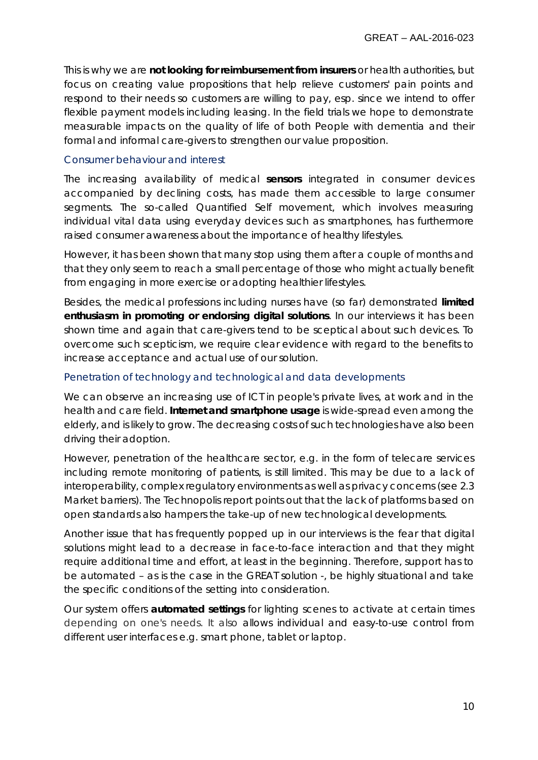This is why we are **not looking for reimbursement from insurers** or health authorities, but focus on creating value propositions that help relieve customers' pain points and respond to their needs so customers are willing to pay, esp. since we intend to offer flexible payment models including leasing. In the field trials we hope to demonstrate measurable impacts on the quality of life of both People with dementia and their formal and informal care-givers to strengthen our value proposition.

#### Consumer behaviour and interest

The increasing availability of medical **sensors** integrated in consumer devices accompanied by declining costs, has made them accessible to large consumer segments. The so-called *Quantified Self movement*, which involves measuring individual vital data using everyday devices such as smartphones, has furthermore raised consumer awareness about the importance of healthy lifestyles.

However, it has been shown that many stop using them after a couple of months and that they only seem to reach a small percentage of those who might actually benefit from engaging in more exercise or adopting healthier lifestyles.

Besides, the medical professions including nurses have (so far) demonstrated **limited enthusiasm in promoting or endorsing digital solutions**. In our interviews it has been shown time and again that care-givers tend to be sceptical about such devices. To overcome such scepticism, we require clear evidence with regard to the benefits to increase acceptance and actual use of our solution.

#### Penetration of technology and technological and data developments

We can observe an increasing use of ICT in people's private lives, at work and in the health and care field. **Internet and smartphone usage** is wide-spread even among the elderly, and is likely to grow. The decreasing costs of such technologies have also been driving their adoption.

However, penetration of the healthcare sector, e.g. in the form of telecare services including remote monitoring of patients, is still limited. This may be due to a lack of interoperability, complex regulatory environments as well as privacy concerns (see 2.3 Market barriers). The Technopolis report points out that the lack of platforms based on open standards also hampers the take-up of new technological developments.

Another issue that has frequently popped up in our interviews is the fear that digital solutions might lead to a decrease in face-to-face interaction and that they might require additional time and effort, at least in the beginning. Therefore, support has to be automated – as is the case in the GREAT solution -, be highly situational and take the specific conditions of the setting into consideration.

Our system offers **automated settings** for lighting scenes to activate at certain times depending on one's needs. It also allows individual and easy-to-use control from different user interfaces e.g. smart phone, tablet or laptop.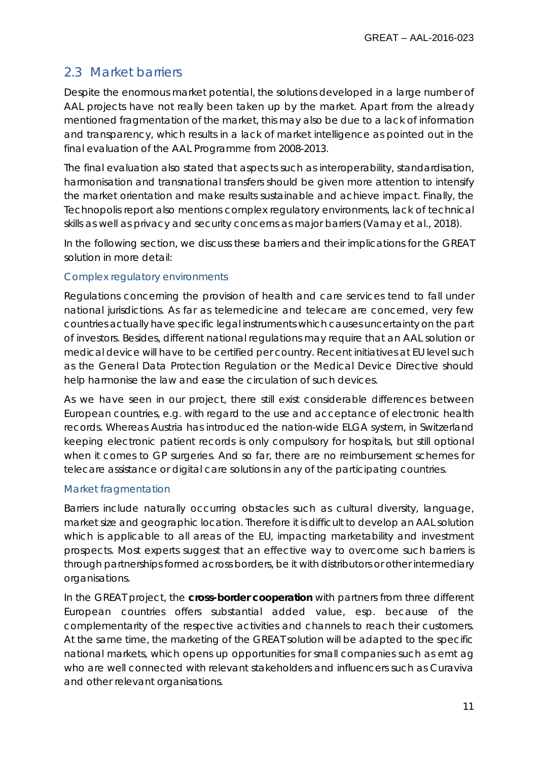## <span id="page-10-0"></span>2.3 Market barriers

Despite the enormous market potential, the solutions developed in a large number of AAL projects have not really been taken up by the market. Apart from the already mentioned fragmentation of the market, this may also be due to a lack of information and transparency, which results in a lack of market intelligence as pointed out in the final evaluation of the AAL Programme from 2008-2013.

The final evaluation also stated that aspects such as interoperability, standardisation, harmonisation and transnational transfers should be given more attention to intensify the market orientation and make results sustainable and achieve impact. Finally, the Technopolis report also mentions complex regulatory environments, lack of technical skills as well as privacy and security concerns as major barriers (Varnay et al., 2018).

In the following section, we discuss these barriers and their implications for the GREAT solution in more detail:

### Complex regulatory environments

Regulations concerning the provision of health and care services tend to fall under national jurisdictions. As far as telemedicine and telecare are concerned, very few countries actually have specific legal instruments which causes uncertainty on the part of investors. Besides, different national regulations may require that an AAL solution or medical device will have to be certified per country. Recent initiatives at EU level such as the General Data Protection Regulation or the Medical Device Directive should help harmonise the law and ease the circulation of such devices.

As we have seen in our project, there still exist considerable differences between European countries, e.g. with regard to the use and acceptance of electronic health records. Whereas Austria has introduced the nation-wide ELGA system, in Switzerland keeping electronic patient records is only compulsory for hospitals, but still optional when it comes to GP surgeries. And so far, there are no reimbursement schemes for telecare assistance or digital care solutions in any of the participating countries.

#### Market fragmentation

Barriers include naturally occurring obstacles such as cultural diversity, language, market size and geographic location. Therefore it is difficult to develop an AAL solution which is applicable to all areas of the EU, impacting marketability and investment prospects. Most experts suggest that an effective way to overcome such barriers is through partnerships formed across borders, be it with distributors or other intermediary organisations.

In the GREAT project, the **cross-border cooperation** with partners from three different European countries offers substantial added value, esp. because of the complementarity of the respective activities and channels to reach their customers. At the same time, the marketing of the GREAT solution will be adapted to the specific national markets, which opens up opportunities for small companies such as emt ag who are well connected with relevant stakeholders and influencers such as Curaviva and other relevant organisations.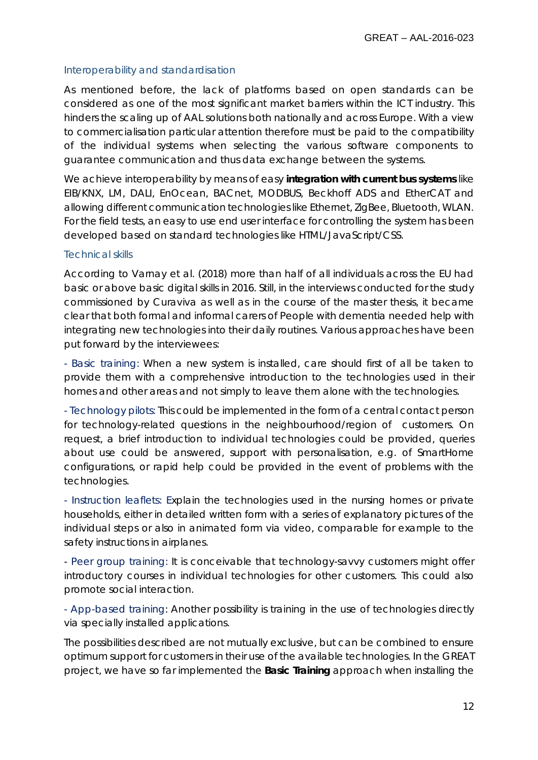#### Interoperability and standardisation

As mentioned before, the lack of platforms based on open standards can be considered as one of the most significant market barriers within the ICT industry. This hinders the scaling up of AAL solutions both nationally and across Europe. With a view to commercialisation particular attention therefore must be paid to the compatibility of the individual systems when selecting the various software components to guarantee communication and thus data exchange between the systems.

We achieve interoperability by means of easy **integration with current bus systems** like EIB/KNX, LM, DALI, EnOcean, BACnet, MODBUS, Beckhoff ADS and EtherCAT and allowing different communication technologies like Ethernet, ZigBee, Bluetooth, WLAN. For the field tests, an easy to use end user interface for controlling the system has been developed based on standard technologies like HTML/JavaScript/CSS.

#### Technical skills

According to Varnay et al. (2018) more than half of all individuals across the EU had basic or above basic digital skills in 2016. Still, in the interviews conducted for the study commissioned by Curaviva as well as in the course of the master thesis, it became clear that both formal and informal carers of People with dementia needed help with integrating new technologies into their daily routines. Various approaches have been put forward by the interviewees:

- Basic training: When a new system is installed, care should first of all be taken to provide them with a comprehensive introduction to the technologies used in their homes and other areas and not simply to leave them alone with the technologies.

- Technology pilots: This could be implemented in the form of a central contact person for technology-related questions in the neighbourhood/region of customers. On request, a brief introduction to individual technologies could be provided, queries about use could be answered, support with personalisation, e.g. of SmartHome configurations, or rapid help could be provided in the event of problems with the technologies.

- Instruction leaflets: Explain the technologies used in the nursing homes or private households, either in detailed written form with a series of explanatory pictures of the individual steps or also in animated form via video, comparable for example to the safety instructions in airplanes.

- Peer group training: It is conceivable that technology-savvy customers might offer introductory courses in individual technologies for other customers. This could also promote social interaction.

- App-based training: Another possibility is training in the use of technologies directly via specially installed applications.

The possibilities described are not mutually exclusive, but can be combined to ensure optimum support for customers in their use of the available technologies. In the GREAT project, we have so far implemented the **Basic Training** approach when installing the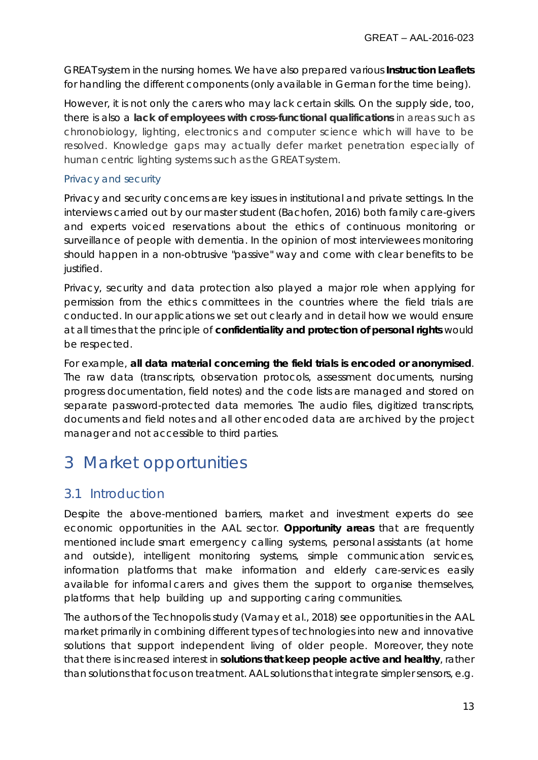GREAT system in the nursing homes. We have also prepared various **Instruction Leaflets** for handling the different components (only available in German for the time being).

However, it is not only the carers who may lack certain skills. On the supply side, too, there is also a **lack of employees with cross-functional qualifications** in areas such as chronobiology, lighting, electronics and computer science which will have to be resolved. Knowledge gaps may actually defer market penetration especially of human centric lighting systems such as the GREAT system.

#### Privacy and security

Privacy and security concerns are key issues in institutional and private settings. In the interviews carried out by our master student (Bachofen, 2016) both family care-givers and experts voiced reservations about the ethics of continuous monitoring or surveillance of people with dementia. In the opinion of most interviewees monitoring should happen in a non-obtrusive "passive" way and come with clear benefits to be justified.

Privacy, security and data protection also played a major role when applying for permission from the ethics committees in the countries where the field trials are conducted. In our applications we set out clearly and in detail how we would ensure at all times that the principle of **confidentiality and protection of personal rights** would be respected.

For example, **all data material concerning the field trials is encoded or anonymised**. The raw data (transcripts, observation protocols, assessment documents, nursing progress documentation, field notes) and the code lists are managed and stored on separate password-protected data memories. The audio files, digitized transcripts, documents and field notes and all other encoded data are archived by the project manager and not accessible to third parties.

## <span id="page-12-0"></span>3 Market opportunities

## <span id="page-12-1"></span>3.1 Introduction

Despite the above-mentioned barriers, market and investment experts do see economic opportunities in the AAL sector. **Opportunity areas** that are frequently mentioned include smart emergency calling systems, personal assistants (at home and outside), intelligent monitoring systems, simple communication services, information platforms that make information and elderly care-services easily available for informal carers and gives them the support to organise themselves, platforms that help building up and supporting caring communities.

The authors of the Technopolis study (Varnay et al., 2018) see opportunities in the AAL market primarily in combining different types of technologies into new and innovative solutions that support independent living of older people. Moreover, they note that there is increased interest in **solutions that keep people active and healthy**, rather than solutions that focus on treatment. AAL solutions that integrate simpler sensors, e.g.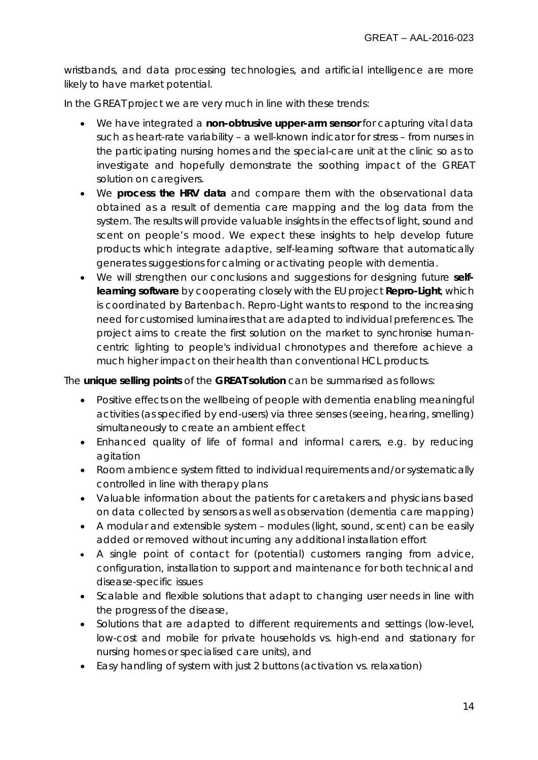wristbands, and data processing technologies, and artificial intelligence are more likely to have market potential.

In the GREAT project we are very much in line with these trends:

- We have integrated a **non-obtrusive upper-arm sensor** for capturing vital data such as heart-rate variability – a well-known indicator for stress – from nurses in the participating nursing homes and the special-care unit at the clinic so as to investigate and hopefully demonstrate the soothing impact of the GREAT solution on caregivers.
- We **process the HRV data** and compare them with the observational data obtained as a result of dementia care mapping and the log data from the system. The results will provide valuable insights in the effects of light, sound and scent on people's mood. We expect these insights to help develop future products which integrate adaptive, self-learning software that automatically generates suggestions for calming or activating people with dementia.
- We will strengthen our conclusions and suggestions for designing future **selflearning software** by cooperating closely with the EU project *Repro-Light*, which is coordinated by Bartenbach. Repro-Light wants to respond to the increasing need for customised luminaires that are adapted to individual preferences. The project aims to create the first solution on the market to synchronise humancentric lighting to people's individual chronotypes and therefore achieve a much higher impact on their health than conventional HCL products.

The **unique selling points** of the **GREAT solution** can be summarised as follows:

- Positive effects on the wellbeing of people with dementia enabling meaningful activities (as specified by end-users) via three senses (seeing, hearing, smelling) simultaneously to create an ambient effect
- Enhanced quality of life of formal and informal carers, e.g. by reducing agitation
- Room ambience system fitted to individual requirements and/or systematically controlled in line with therapy plans
- Valuable information about the patients for caretakers and physicians based on data collected by sensors as well as observation (dementia care mapping)
- A modular and extensible system modules (light, sound, scent) can be easily added or removed without incurring any additional installation effort
- A single point of contact for (potential) customers ranging from advice, configuration, installation to support and maintenance for both technical and disease-specific issues
- Scalable and flexible solutions that adapt to changing user needs in line with the progress of the disease,
- Solutions that are adapted to different requirements and settings (low-level, low-cost and mobile for private households vs. high-end and stationary for nursing homes or specialised care units), and
- Easy handling of system with just 2 buttons (activation vs. relaxation)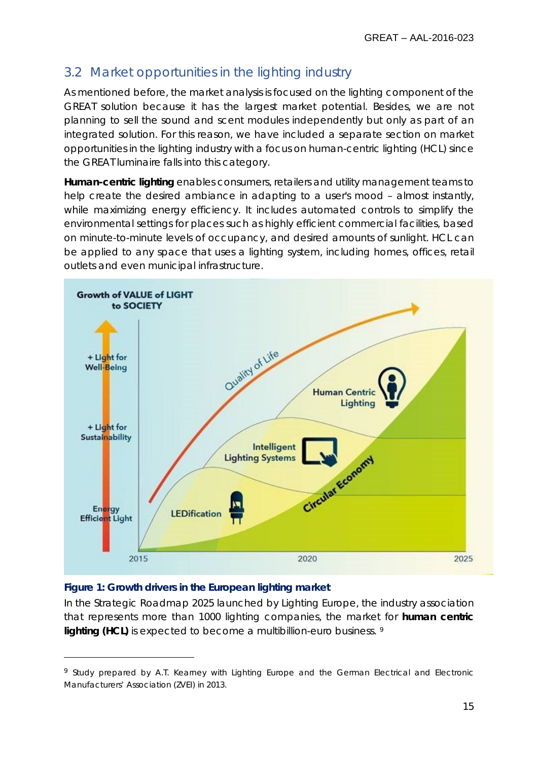## <span id="page-14-0"></span>3.2 Market opportunities in the lighting industry

As mentioned before, the market analysis is focused on the lighting component of the GREAT solution because it has the largest market potential. Besides, we are not planning to sell the sound and scent modules independently but only as part of an integrated solution. For this reason, we have included a separate section on market opportunities in the lighting industry with a focus on human-centric lighting (HCL) since the GREAT luminaire falls into this category.

**Human-centric lighting** enables consumers, retailers and utility management teams to help create the desired ambiance in adapting to a user's mood - almost instantly, while maximizing energy efficiency. It includes automated controls to simplify the environmental settings for places such as highly efficient commercial facilities, based on minute-to-minute levels of occupancy, and desired amounts of sunlight. HCL can be applied to any space that uses a lighting system, including homes, offices, retail outlets and even municipal infrastructure.



#### **Figure 1: Growth drivers in the European lighting market**

 $\overline{a}$ 

In the Strategic Roadmap 2025 launched by Lighting Europe, the industry association that represents more than 1000 lighting companies, the market for **human centric lighting (HCL)** is expected to become a multibillion-euro business. [9](#page-14-1)

<span id="page-14-1"></span><sup>&</sup>lt;sup>9</sup> Study prepared by A.T. Kearney with Lighting Europe and the German Electrical and Electronic Manufacturers' Association (ZVEI) in 2013.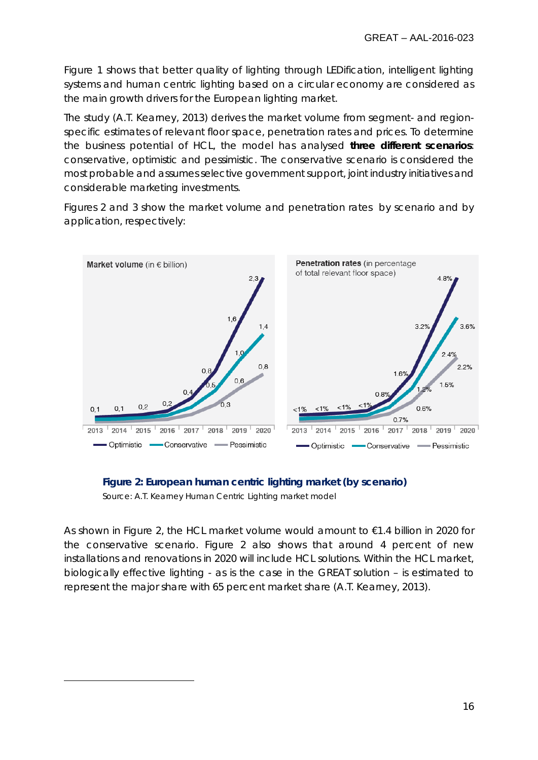Figure 1 shows that better quality of lighting through LEDification, intelligent lighting systems and human centric lighting based on a circular economy are considered as the main growth drivers for the European lighting market.

The study (A.T. Kearney, 2013) derives the market volume from segment- and regionspecific estimates of relevant floor space, penetration rates and prices. To determine the business potential of HCL, the model has analysed **three different scenarios**: conservative, optimistic and pessimistic. The conservative scenario is considered the most probable and assumes selective government support, joint industry initiatives and considerable marketing investments.

Figures 2 and 3 show the market volume and penetration rates by scenario and by application, respectively:





Source: A.T. Kearney Human Centric Lighting market model

 $\overline{a}$ 

As shown in Figure 2, the HCL market volume would amount to €1.4 billion in 2020 for the conservative scenario. Figure 2 also shows that around 4 percent of new installations and renovations in 2020 will include HCL solutions. Within the HCL market, biologically effective lighting - as is the case in the GREAT solution – is estimated to represent the major share with 65 percent market share (A.T. Kearney, 2013).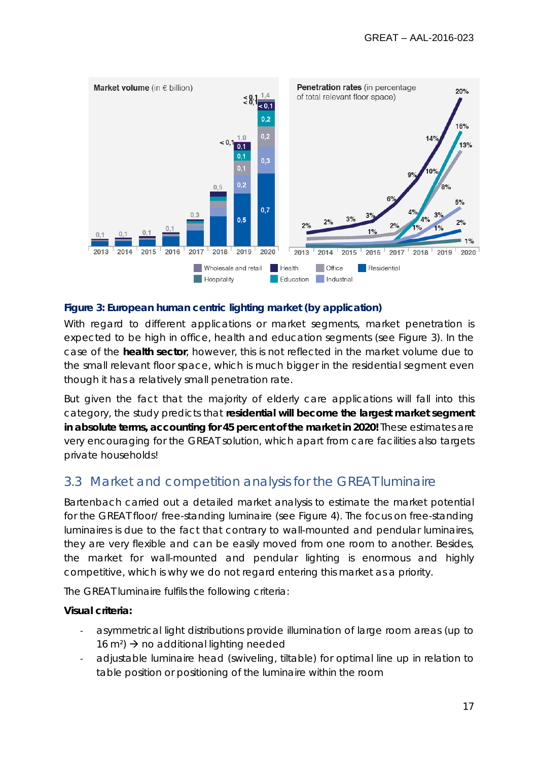

#### **Figure 3: European human centric lighting market (by application)**

With regard to different applications or market segments, market penetration is expected to be high in office, health and education segments (see Figure 3). In the case of the **health sector**, however, this is not reflected in the market volume due to the small relevant floor space, which is much bigger in the residential segment even though it has a relatively small penetration rate.

But given the fact that the majority of elderly care applications will fall into this category, the study predicts that **residential will become the largest market segment in absolute terms, accounting for 45 percent of the market in 2020!** These estimates are very encouraging for the GREAT solution, which apart from care facilities also targets private households!

## <span id="page-16-0"></span>3.3 Market and competition analysis for the GREAT luminaire

Bartenbach carried out a detailed market analysis to estimate the market potential for the GREAT floor/ free-standing luminaire (see Figure 4). The focus on free-standing luminaires is due to the fact that contrary to wall-mounted and pendular luminaires, they are very flexible and can be easily moved from one room to another. Besides, the market for wall-mounted and pendular lighting is enormous and highly competitive, which is why we do not regard entering this market as a priority.

The GREAT luminaire fulfils the following criteria:

#### **Visual criteria:**

- asymmetrical light distributions provide illumination of large room areas (up to 16 m<sup>2</sup>)  $\rightarrow$  no additional lighting needed
- adjustable luminaire head (swiveling, tiltable) for optimal line up in relation to table position or positioning of the luminaire within the room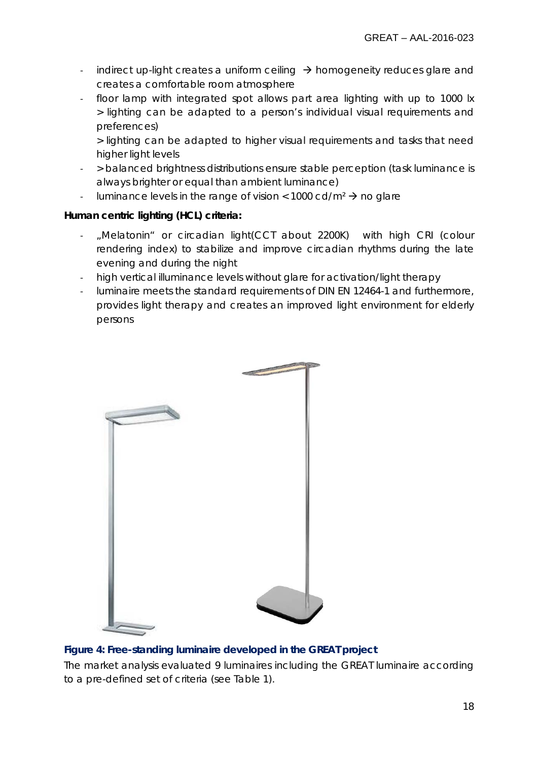- indirect up-light creates a uniform ceiling  $\rightarrow$  homogeneity reduces glare and creates a comfortable room atmosphere
- floor lamp with integrated spot allows part area lighting with up to 1000 lx > lighting can be adapted to a person's individual visual requirements and preferences)

> lighting can be adapted to higher visual requirements and tasks that need higher light levels

- > balanced brightness distributions ensure stable perception (task luminance is always brighter or equal than ambient luminance)
- luminance levels in the range of vision <  $1000 \text{ cd/m}^2 \rightarrow$  no glare

### **Human centric lighting (HCL) criteria:**

- "Melatonin" or circadian light(CCT about 2200K) with high CRI (colour rendering index) to stabilize and improve circadian rhythms during the late evening and during the night
- high vertical illuminance levels without glare for activation/light therapy
- luminaire meets the standard requirements of DIN EN 12464-1 and furthermore, provides light therapy and creates an improved light environment for elderly persons



### **Figure 4: Free-standing luminaire developed in the GREAT project**

The market analysis evaluated 9 luminaires including the GREAT luminaire according to a pre-defined set of criteria (see Table 1).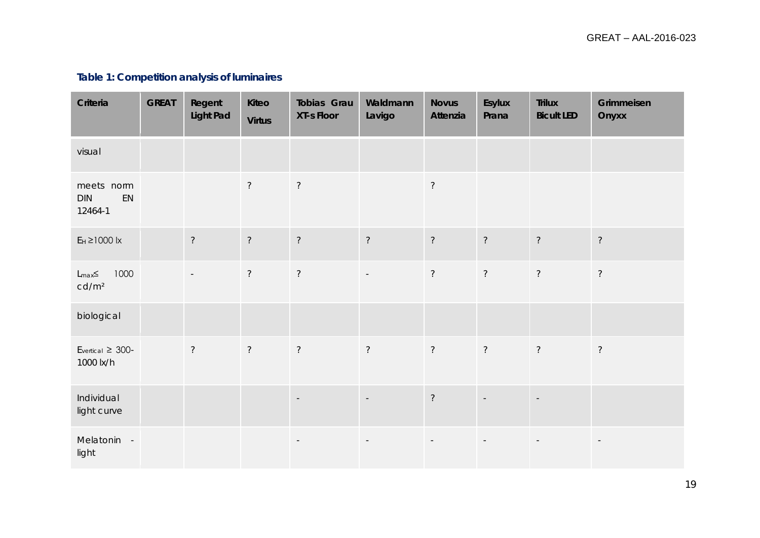## **Table 1: Competition analysis of luminaires**

| Criteria                                          | <b>GREAT</b> | Regent<br><b>Light Pad</b> | Kiteo<br><b>Virtus</b> | Tobias Grau<br><b>XT-s Floor</b> | Waldmann<br>Lavigo       | <b>Novus</b><br>Attenzia | Esylux<br>Prana          | <b>Trilux</b><br><b>Bicult LED</b> | Grimmeisen<br>Onyxx      |
|---------------------------------------------------|--------------|----------------------------|------------------------|----------------------------------|--------------------------|--------------------------|--------------------------|------------------------------------|--------------------------|
| visual                                            |              |                            |                        |                                  |                          |                          |                          |                                    |                          |
| meets norm<br>EN<br>DIN<br>12464-1                |              |                            | $\overline{?}$         | $\overline{?}$                   |                          | $\overline{?}$           |                          |                                    |                          |
| $E_H \ge 1000$ lx                                 |              | $\tilde{?}$                | $\overline{?}$         | $\overline{?}$                   | $\overline{?}$           | $\overline{?}$           | $\overline{?}$           | $\overline{?}$                     | $\overline{?}$           |
| 1000<br>$L_{\text{max}}\leq$<br>cd/m <sup>2</sup> |              | $\overline{\phantom{a}}$   | $\tilde{?}$            | $\tilde{?}$                      | $\overline{\phantom{a}}$ | $\overline{?}$           | $\overline{?}$           | $\overline{?}$                     | $\overline{?}$           |
| biological                                        |              |                            |                        |                                  |                          |                          |                          |                                    |                          |
| $E_{\text{vertical}} \geq 300$ -<br>1000 lx/h     |              | $\overline{?}$             | $\tilde{?}$            | $\tilde{?}$                      | $\tilde{?}$              | $\tilde{?}$              | $\overline{?}$           | $\overline{?}$                     | $\overline{?}$           |
| Individual<br>light curve                         |              |                            |                        | $\overline{\phantom{a}}$         | $\overline{\phantom{a}}$ | $\gamma$                 |                          | $\mathcal{L}$                      |                          |
| Melatonin -<br>light                              |              |                            |                        | $\overline{\phantom{a}}$         | $\overline{\phantom{a}}$ | $\overline{\phantom{a}}$ | $\overline{\phantom{a}}$ | $\overline{\phantom{a}}$           | $\overline{\phantom{a}}$ |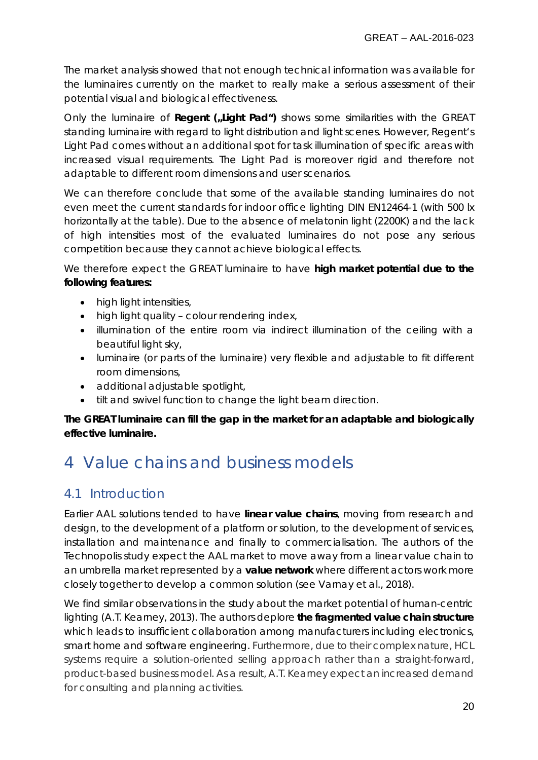The market analysis showed that not enough technical information was available for the luminaires currently on the market to really make a serious assessment of their potential visual and biological effectiveness.

Only the luminaire of **Regent (**"Light Pad") shows some similarities with the GREAT standing luminaire with regard to light distribution and light scenes. However, Regent's Light Pad comes without an additional spot for task illumination of specific areas with increased visual requirements. The Light Pad is moreover rigid and therefore not adaptable to different room dimensions and user scenarios.

We can therefore conclude that some of the available standing luminaires do not even meet the current standards for indoor office lighting DIN EN12464-1 (with 500 lx horizontally at the table). Due to the absence of melatonin light (2200K) and the lack of high intensities most of the evaluated luminaires do not pose any serious competition because they cannot achieve biological effects.

We therefore expect the GREAT luminaire to have **high market potential due to the following features:**

- high light intensities,
- high light quality colour rendering index,
- illumination of the entire room via indirect illumination of the ceiling with a beautiful light sky,
- luminaire (or parts of the luminaire) very flexible and adjustable to fit different room dimensions,
- additional adjustable spotlight,
- tilt and swivel function to change the light beam direction.

### **The GREAT luminaire can fill the gap in the market for an adaptable and biologically effective luminaire.**

# <span id="page-19-0"></span>4 Value chains and business models

## <span id="page-19-1"></span>4.1 Introduction

Earlier AAL solutions tended to have **linear value chains**, moving from research and design, to the development of a platform or solution, to the development of services, installation and maintenance and finally to commercialisation. The authors of the Technopolis study expect the AAL market to move away from a linear value chain to an umbrella market represented by a **value network** where different actors work more closely together to develop a common solution (see Varnay et al., 2018).

We find similar observations in the study about the market potential of human-centric lighting (A.T. Kearney, 2013). The authors deplore **the fragmented value chain structure** which leads to insufficient collaboration among manufacturers including electronics, smart home and software engineering. Furthermore, due to their complex nature, HCL systems require a solution-oriented selling approach rather than a straight-forward, product-based business model. As a result, A.T. Kearney expect an increased demand for consulting and planning activities.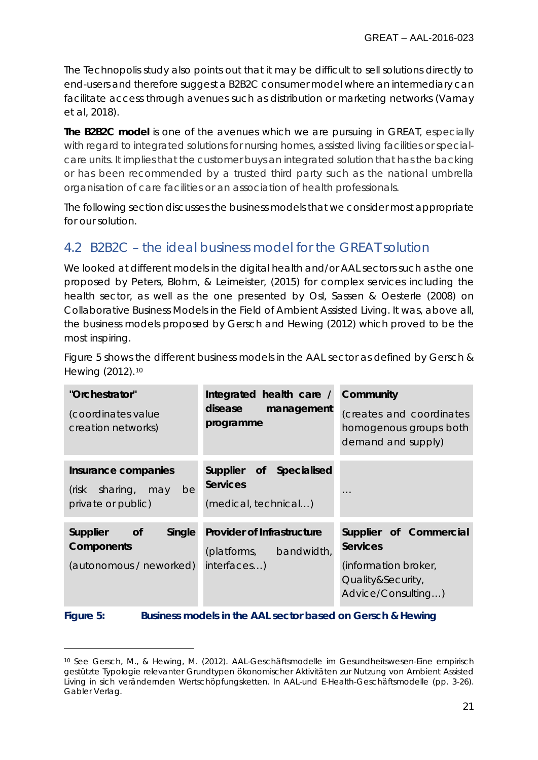The Technopolis study also points out that it may be difficult to sell solutions directly to end-users and therefore suggest a B2B2C consumer model where an intermediary can facilitate access through avenues such as distribution or marketing networks (Varnay et al, 2018).

**The B2B2C model** is one of the avenues which we are pursuing in GREAT, especially with regard to integrated solutions for nursing homes, assisted living facilities or specialcare units. It implies that the customer buys an integrated solution that has the backing or has been recommended by a trusted third party such as the national umbrella organisation of care facilities or an association of health professionals.

The following section discusses the business models that we consider most appropriate for our solution.

## <span id="page-20-0"></span>4.2 B2B2C – the ideal business model for the GREAT solution

We looked at different models in the digital health and/or AAL sectors such as the one proposed by Peters, Blohm, & Leimeister, (2015) for complex services including the health sector, as well as the one presented by Osl, Sassen & Oesterle (2008) on *Collaborative Business Models in the Field of Ambient Assisted Living*. It was, above all, the business models proposed by Gersch and Hewing (2012) which proved to be the most inspiring.

Figure 5 shows the different business models in the AAL sector as defined by Gersch & Hewing (2012).[10](#page-20-1)

| "Orchestrator"<br>(coordinates value<br>creation networks)               | Integrated health care /<br>disease<br>management<br>programme             | Community<br>(creates and coordinates<br>homogenous groups both<br>demand and supply)                        |  |  |
|--------------------------------------------------------------------------|----------------------------------------------------------------------------|--------------------------------------------------------------------------------------------------------------|--|--|
| Insurance companies<br>(risk sharing, may<br>be<br>private or public)    | Specialised<br>Supplier of<br><b>Services</b><br>(medical, technical)      | $\cdots$                                                                                                     |  |  |
| Supplier<br>Single<br><b>of</b><br>Components<br>(autonomous / neworked) | <b>Provider of Infrastructure</b><br>(platforms, bandwidth,<br>interfaces) | Supplier of Commercial<br><b>Services</b><br>(information broker,<br>Quality&Security,<br>Advice/Consulting) |  |  |

**Figure 5: Business models in the AAL sector based on Gersch & Hewing**

 $\overline{a}$ 

<span id="page-20-1"></span><sup>10</sup> See Gersch, M., & Hewing, M. (2012). AAL-Geschäftsmodelle im Gesundheitswesen-Eine empirisch gestützte Typologie relevanter Grundtypen ökonomischer Aktivitäten zur Nutzung von Ambient Assisted Living in sich verändernden Wertschöpfungsketten. In AAL-und E-Health-Geschäftsmodelle (pp. 3-26). Gabler Verlag.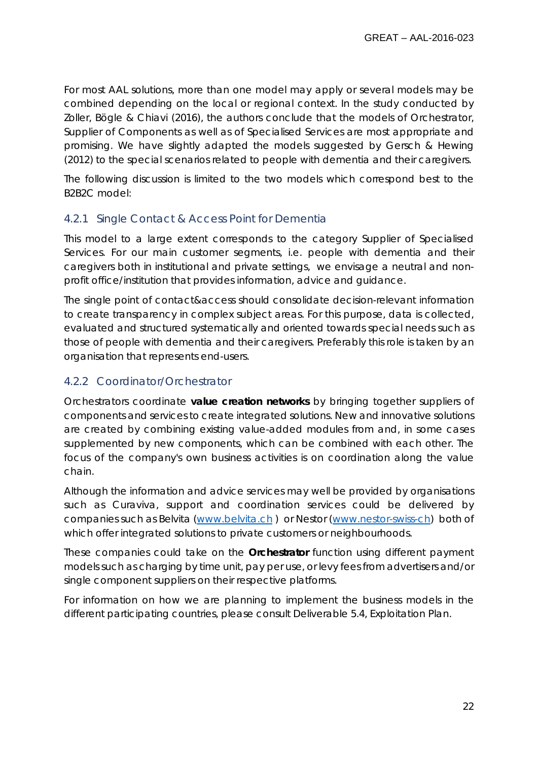For most AAL solutions, more than one model may apply or several models may be combined depending on the local or regional context. In the study conducted by Zoller, Bögle & Chiavi (2016), the authors conclude that the models of Orchestrator, Supplier of Components as well as of Specialised Services are most appropriate and promising. We have slightly adapted the models suggested by Gersch & Hewing (2012) to the special scenarios related to people with dementia and their caregivers.

The following discussion is limited to the two models which correspond best to the B2B2C model:

### <span id="page-21-0"></span>4.2.1 Single Contact & Access Point for Dementia

This model to a large extent corresponds to the category *Supplier of Specialised Services*. For our main customer segments, i.e. people with dementia and their caregivers both in institutional and private settings, we envisage a neutral and nonprofit office/institution that provides information, advice and guidance.

The single point of contact&access should consolidate decision-relevant information to create transparency in complex subject areas. For this purpose, data is collected, evaluated and structured systematically and oriented towards special needs such as those of people with dementia and their caregivers. Preferably this role is taken by an organisation that represents end-users.

### <span id="page-21-1"></span>4.2.2 Coordinator/Orchestrator

Orchestrators coordinate **value creation networks** by bringing together suppliers of components and services to create integrated solutions. New and innovative solutions are created by combining existing value-added modules from and, in some cases supplemented by new components, which can be combined with each other. The focus of the company's own business activities is on coordination along the value chain.

Although the information and advice services may well be provided by organisations such as Curaviva, support and coordination services could be delivered by companies such as Belvita [\(www.belvita.ch](http://www.belvita.ch/) ) or Nestor [\(www.nestor-swiss-ch\)](http://www.nestor-swiss-ch/) both of which offer integrated solutions to private customers or neighbourhoods.

These companies could take on the **Orchestrator** function using different payment models such as charging by time unit, pay per use, or levy fees from advertisers and/or single component suppliers on their respective platforms.

For information on how we are planning to implement the business models in the different participating countries, please consult Deliverable 5.4, Exploitation Plan.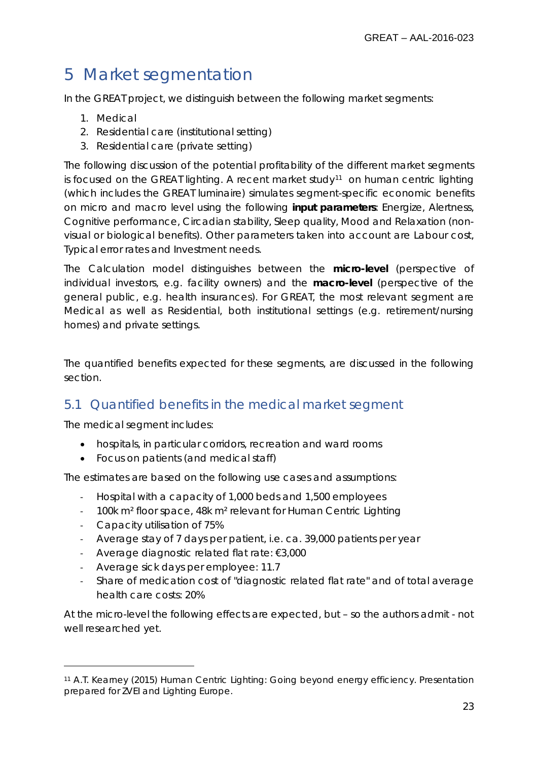# <span id="page-22-0"></span>5 Market segmentation

In the GREAT project, we distinguish between the following market segments:

- 1. Medical
- 2. Residential care (institutional setting)
- 3. Residential care (private setting)

The following discussion of the potential profitability of the different market segments is focused on the GREAT lighting. A recent market study<sup>[11](#page-22-2)</sup> on human centric lighting (which includes the GREAT luminaire) simulates segment-specific economic benefits on micro and macro level using the following **input parameters**: Energize, Alertness, Cognitive performance, Circadian stability, Sleep quality, Mood and Relaxation (nonvisual or biological benefits). Other parameters taken into account are Labour cost, Typical error rates and Investment needs.

The Calculation model distinguishes between the **micro-level** (perspective of individual investors, e.g. facility owners) and the **macro-level** (perspective of the general public, e.g. health insurances). For GREAT, the most relevant segment are Medical as well as Residential, both institutional settings (e.g. retirement/nursing homes) and private settings.

The quantified benefits expected for these segments, are discussed in the following section.

## <span id="page-22-1"></span>5.1 Quantified benefits in the medical market segment

The medical segment includes:

- hospitals, in particular corridors, recreation and ward rooms
- Focus on patients (and medical staff)

The estimates are based on the following use cases and assumptions:

- Hospital with a capacity of 1,000 beds and 1,500 employees
- 100k m² floor space, 48k m² relevant for Human Centric Lighting
- Capacity utilisation of 75%

 $\overline{a}$ 

- Average stay of 7 days per patient, i.e. ca. 39,000 patients per year
- Average diagnostic related flat rate: €3,000
- Average sick days per employee: 11.7
- Share of medication cost of "diagnostic related flat rate" and of total average health care costs: 20%

At the micro-level the following effects are expected, but – so the authors admit - not well researched yet.

<span id="page-22-2"></span><sup>11</sup> A.T. Kearney (2015) Human Centric Lighting: Going beyond energy efficiency. Presentation prepared for ZVEI and Lighting Europe.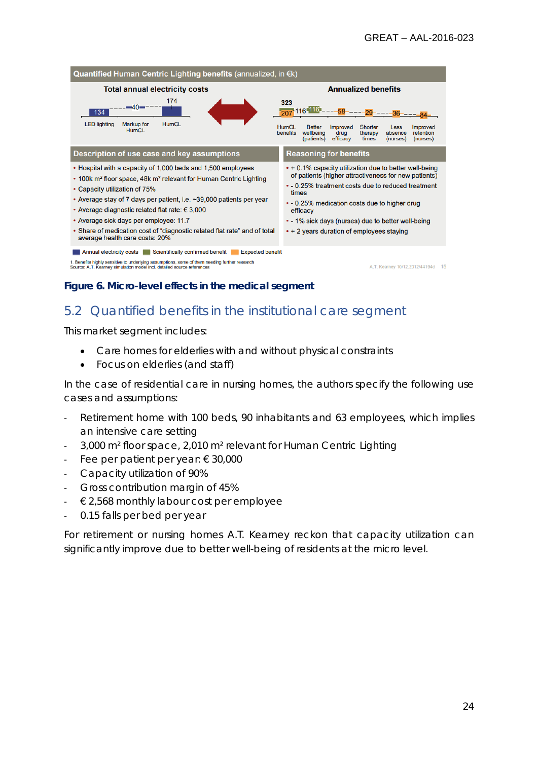

#### **Figure 6. Micro-level effects in the medical segment**

### <span id="page-23-0"></span>5.2 Quantified benefits in the institutional care segment

This market segment includes:

- Care homes for elderlies with and without physical constraints
- Focus on elderlies (and staff)

In the case of residential care in nursing homes, the authors specify the following use cases and assumptions:

- Retirement home with 100 beds, 90 inhabitants and 63 employees, which implies an intensive care setting
- 3,000 m² floor space, 2,010 m² relevant for Human Centric Lighting
- Fee per patient per year: € 30,000
- Capacity utilization of 90%
- Gross contribution margin of 45%
- $\epsilon$  2,568 monthly labour cost per employee
- 0.15 falls per bed per year

For retirement or nursing homes A.T. Kearney reckon that capacity utilization can significantly improve due to better well-being of residents at the micro level.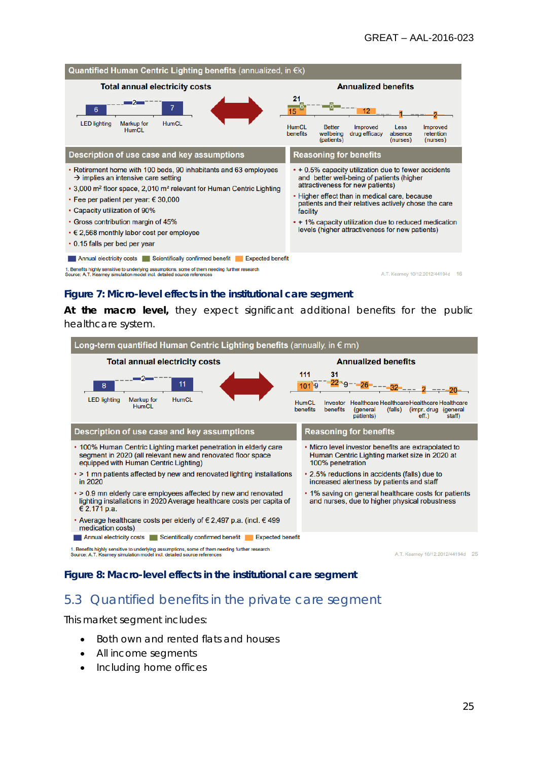

#### **Figure 7: Micro-level effects in the institutional care segment**

**At the macro level,** they expect significant additional benefits for the public healthcare system.



#### **Figure 8: Macro-level effects in the institutional care segment**

## <span id="page-24-0"></span>5.3 Quantified benefits in the private care segment

This market segment includes:

- Both own and rented flats and houses
- All income segments
- Including home offices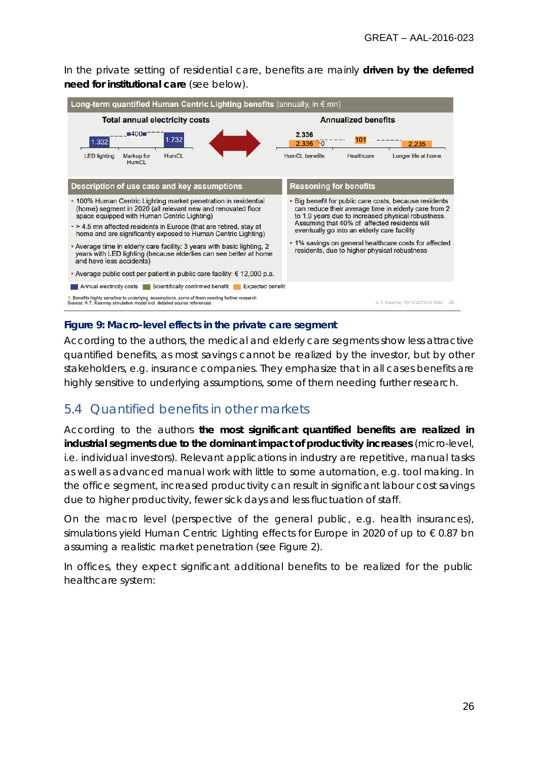In the private setting of residential care, benefits are mainly **driven by the deferred need for institutional care** (see below).



### **Figure 9: Macro-level effects in the private care segment**

According to the authors, the medical and elderly care segments show less attractive quantified benefits, as most savings cannot be realized by the investor, but by other stakeholders, e.g. insurance companies. They emphasize that in all cases benefits are highly sensitive to underlying assumptions, some of them needing further research.

## <span id="page-25-0"></span>5.4 Quantified benefits in other markets

According to the authors **the most significant quantified benefits are realized in industrial segments due to the dominant impact of productivity increases** (micro-level, i.e. individual investors). Relevant applications in industry are repetitive, manual tasks as well as advanced manual work with little to some automation, e.g. tool making. In the office segment, increased productivity can result in significant labour cost savings due to higher productivity, fewer sick days and less fluctuation of staff.

On the macro level (perspective of the general public, e.g. health insurances), simulations yield Human Centric Lighting effects for Europe in 2020 of up to  $\epsilon$  0.87 bn assuming a realistic market penetration (see Figure 2).

In offices, they expect significant additional benefits to be realized for the public healthcare system: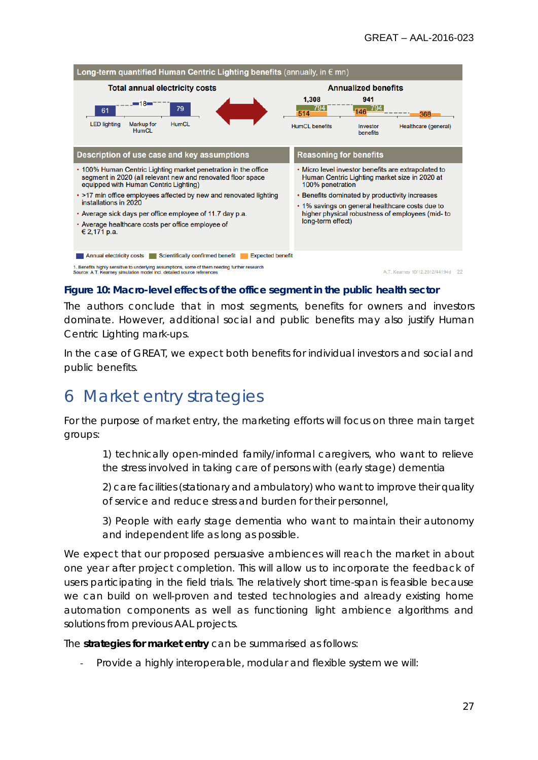

#### **Figure 10: Macro-level effects of the office segment in the public health sector**

The authors conclude that in most segments, benefits for owners and investors dominate. However, additional social and public benefits may also justify Human Centric Lighting mark-ups.

In the case of GREAT, we expect both benefits for individual investors and social and public benefits.

## <span id="page-26-0"></span>6 Market entry strategies

For the purpose of market entry, the marketing efforts will focus on three main target groups:

1) technically open-minded family/informal caregivers, who want to relieve the stress involved in taking care of persons with (early stage) dementia

2) care facilities (stationary and ambulatory) who want to improve their quality of service and reduce stress and burden for their personnel,

3) People with early stage dementia who want to maintain their autonomy and independent life as long as possible.

We expect that our proposed persuasive ambiences will reach the market in about one year after project completion. This will allow us to incorporate the feedback of users participating in the field trials. The relatively short time-span is feasible because we can build on well-proven and tested technologies and already existing home automation components as well as functioning light ambience algorithms and solutions from previous AAL projects.

The **strategies for market entry** can be summarised as follows:

- Provide a highly interoperable, modular and flexible system we will: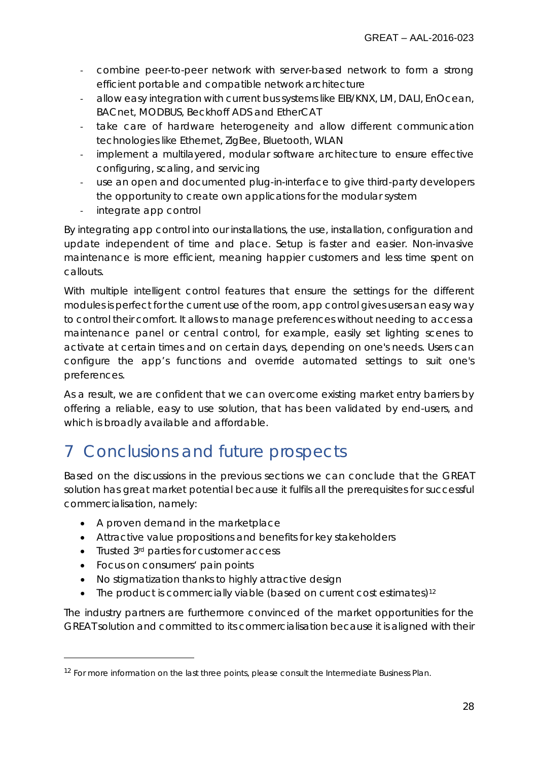- combine peer-to-peer network with server-based network to form a strong efficient portable and compatible network architecture
- allow easy integration with current bus systems like EIB/KNX, LM, DALI, EnOcean, BACnet, MODBUS, Beckhoff ADS and EtherCAT
- take care of hardware heterogeneity and allow different communication technologies like Ethernet, ZigBee, Bluetooth, WLAN
- implement a multilayered, modular software architecture to ensure effective configuring, scaling, and servicing
- use an open and documented plug-in-interface to give third-party developers the opportunity to create own applications for the modular system
- integrate app control

By integrating app control into our installations, the use, installation, configuration and update independent of time and place. Setup is faster and easier. Non-invasive maintenance is more efficient, meaning happier customers and less time spent on callouts.

With multiple intelligent control features that ensure the settings for the different modules is perfect for the current use of the room, app control gives users an easy way to control their comfort. It allows to manage preferences without needing to access a maintenance panel or central control, for example, easily set lighting scenes to activate at certain times and on certain days, depending on one's needs. Users can configure the app's functions and override automated settings to suit one's preferences.

As a result, we are confident that we can overcome existing market entry barriers by offering a reliable, easy to use solution, that has been validated by end-users, and which is broadly available and affordable.

# <span id="page-27-0"></span>7 Conclusions and future prospects

Based on the discussions in the previous sections we can conclude that the GREAT solution has great market potential because it fulfils all the prerequisites for successful commercialisation, namely:

- A proven demand in the marketplace
- Attractive value propositions and benefits for key stakeholders
- Trusted 3<sup>rd</sup> parties for customer access
- Focus on consumers' pain points

 $\overline{a}$ 

- No stigmatization thanks to highly attractive design
- The product is commercially viable (based on current cost estimates)<sup>[12](#page-27-1)</sup>

The industry partners are furthermore convinced of the market opportunities for the GREAT solution and committed to its commercialisation because it is aligned with their

<span id="page-27-1"></span><sup>&</sup>lt;sup>12</sup> For more information on the last three points, please consult the Intermediate Business Plan.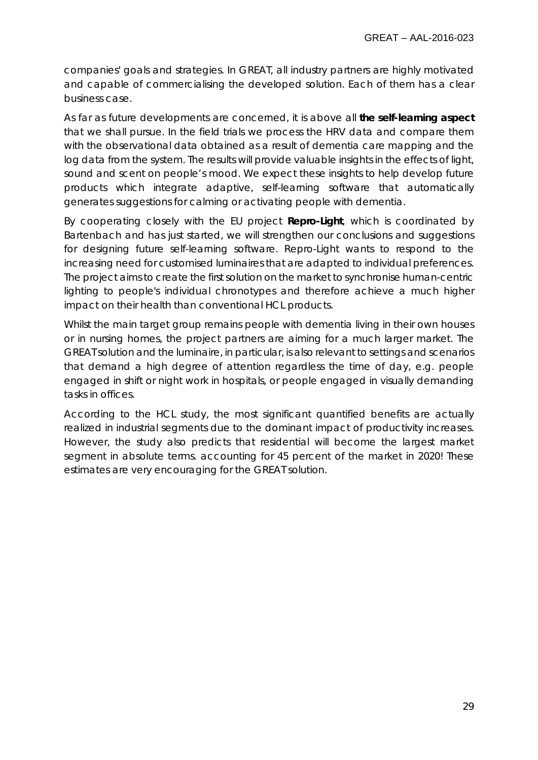companies' goals and strategies. In GREAT, all industry partners are highly motivated and capable of commercialising the developed solution. Each of them has a clear business case.

As far as future developments are concerned, it is above all **the self-learning aspect** that we shall pursue. In the field trials we process the HRV data and compare them with the observational data obtained as a result of dementia care mapping and the log data from the system. The results will provide valuable insights in the effects of light, sound and scent on people's mood. We expect these insights to help develop future products which integrate adaptive, self-learning software that automatically generates suggestions for calming or activating people with dementia.

By cooperating closely with the EU project *Repro-Light*, which is coordinated by Bartenbach and has just started, we will strengthen our conclusions and suggestions for designing future self-learning software. Repro-Light wants to respond to the increasing need for customised luminaires that are adapted to individual preferences. The project aims to create the first solution on the market to synchronise human-centric lighting to people's individual chronotypes and therefore achieve a much higher impact on their health than conventional HCL products.

Whilst the main target group remains people with dementia living in their own houses or in nursing homes, the project partners are aiming for a much larger market. The GREAT solution and the luminaire, in particular, is also relevant to settings and scenarios that demand a high degree of attention regardless the time of day, e.g. people engaged in shift or night work in hospitals, or people engaged in visually demanding tasks in offices.

According to the HCL study, the most significant quantified benefits are actually realized in industrial segments due to the dominant impact of productivity increases. However, the study also predicts that residential will become the largest market segment in absolute terms. accounting for 45 percent of the market in 2020! These estimates are very encouraging for the GREAT solution.